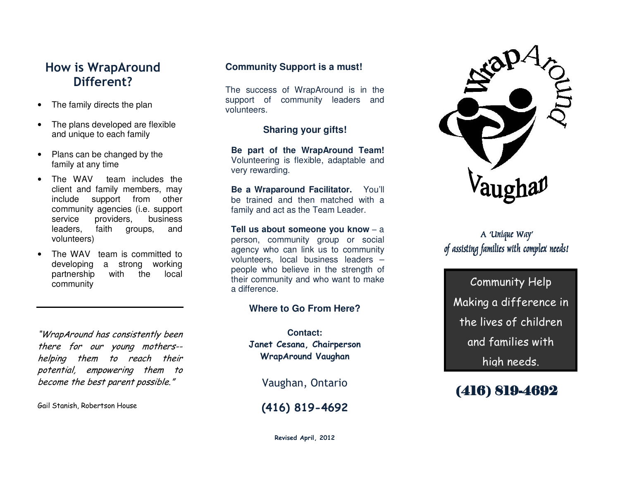## **How is WrapAround Different?**

- The family directs the plan
- The plans developed are flexible and unique to each family
- Plans can be changed by the family at any time
- The WAV team includes the client and family members, may include support from other community agencies (i.e. support business service providers, leaders, faith groups, and volunteers)
- The WAV team is committed to developing a strong working partnership with the local community

"WrapAround has consistently been there for our young mothers- helping them to reach their potential, empowering them to become the best parent possible."

Gail Stanish, Robertson House

#### **Community Support is a must!**

The success of WrapAround is in the support of community leaders and volunteers.

#### **Sharing your gifts!**

**Be part of the WrapAround Team!** Volunteering is flexible, adaptable and very rewarding.

**Be a Wraparound Facilitator.** You'll be trained and then matched with a family and act as the Team Leader.

**Tell us about someone you know** – <sup>a</sup> person, community group or social agency who can link us to community volunteers, local business leaders – people who believe in the strength of their community and who want to make a difference.

#### **Where to Go From Here?**

**Contact: Janet Cesana, Chairperson WrapAround Vaughan** 

Vaughan, Ontario

**(416) 819-4692** 



#### A 'Unique Way' of assisting families with complex needs!

Community Help Making a difference in the lives of children and families with high needs.

## (416) 819-4692